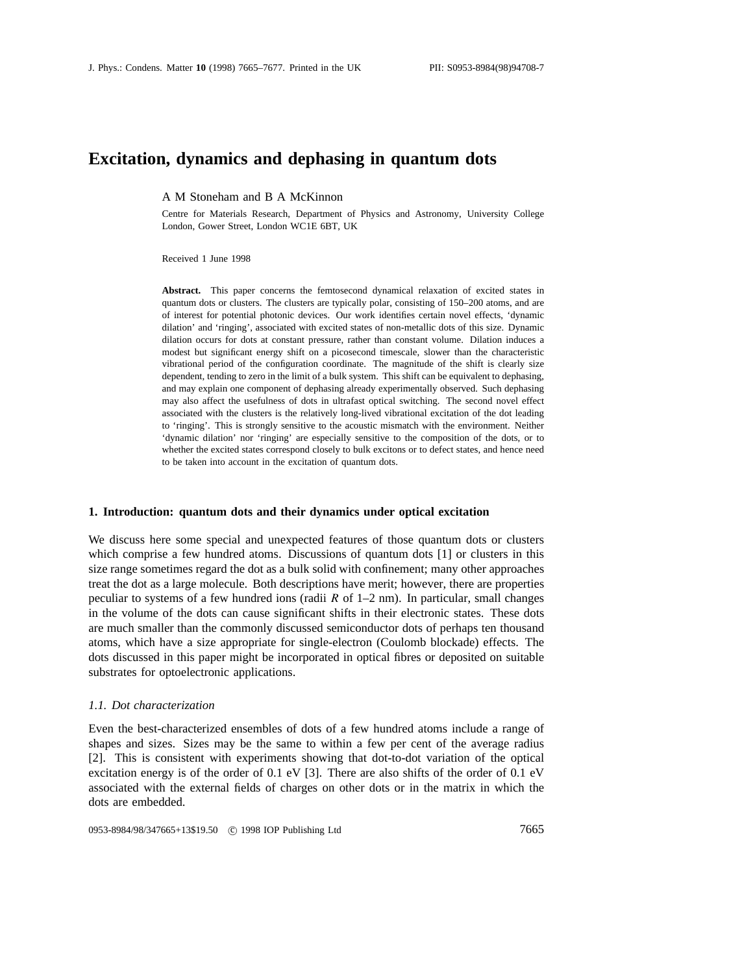# **Excitation, dynamics and dephasing in quantum dots**

A M Stoneham and B A McKinnon

Centre for Materials Research, Department of Physics and Astronomy, University College London, Gower Street, London WC1E 6BT, UK

Received 1 June 1998

**Abstract.** This paper concerns the femtosecond dynamical relaxation of excited states in quantum dots or clusters. The clusters are typically polar, consisting of 150–200 atoms, and are of interest for potential photonic devices. Our work identifies certain novel effects, 'dynamic dilation' and 'ringing', associated with excited states of non-metallic dots of this size. Dynamic dilation occurs for dots at constant pressure, rather than constant volume. Dilation induces a modest but significant energy shift on a picosecond timescale, slower than the characteristic vibrational period of the configuration coordinate. The magnitude of the shift is clearly size dependent, tending to zero in the limit of a bulk system. This shift can be equivalent to dephasing, and may explain one component of dephasing already experimentally observed. Such dephasing may also affect the usefulness of dots in ultrafast optical switching. The second novel effect associated with the clusters is the relatively long-lived vibrational excitation of the dot leading to 'ringing'. This is strongly sensitive to the acoustic mismatch with the environment. Neither 'dynamic dilation' nor 'ringing' are especially sensitive to the composition of the dots, or to whether the excited states correspond closely to bulk excitons or to defect states, and hence need to be taken into account in the excitation of quantum dots.

#### **1. Introduction: quantum dots and their dynamics under optical excitation**

We discuss here some special and unexpected features of those quantum dots or clusters which comprise a few hundred atoms. Discussions of quantum dots [1] or clusters in this size range sometimes regard the dot as a bulk solid with confinement; many other approaches treat the dot as a large molecule. Both descriptions have merit; however, there are properties peculiar to systems of a few hundred ions (radii *R* of 1–2 nm). In particular, small changes in the volume of the dots can cause significant shifts in their electronic states. These dots are much smaller than the commonly discussed semiconductor dots of perhaps ten thousand atoms, which have a size appropriate for single-electron (Coulomb blockade) effects. The dots discussed in this paper might be incorporated in optical fibres or deposited on suitable substrates for optoelectronic applications.

### *1.1. Dot characterization*

Even the best-characterized ensembles of dots of a few hundred atoms include a range of shapes and sizes. Sizes may be the same to within a few per cent of the average radius [2]. This is consistent with experiments showing that dot-to-dot variation of the optical excitation energy is of the order of 0.1 eV [3]. There are also shifts of the order of 0.1 eV associated with the external fields of charges on other dots or in the matrix in which the dots are embedded.

0953-8984/98/347665+13\$19.50 © 1998 IOP Publishing Ltd 7665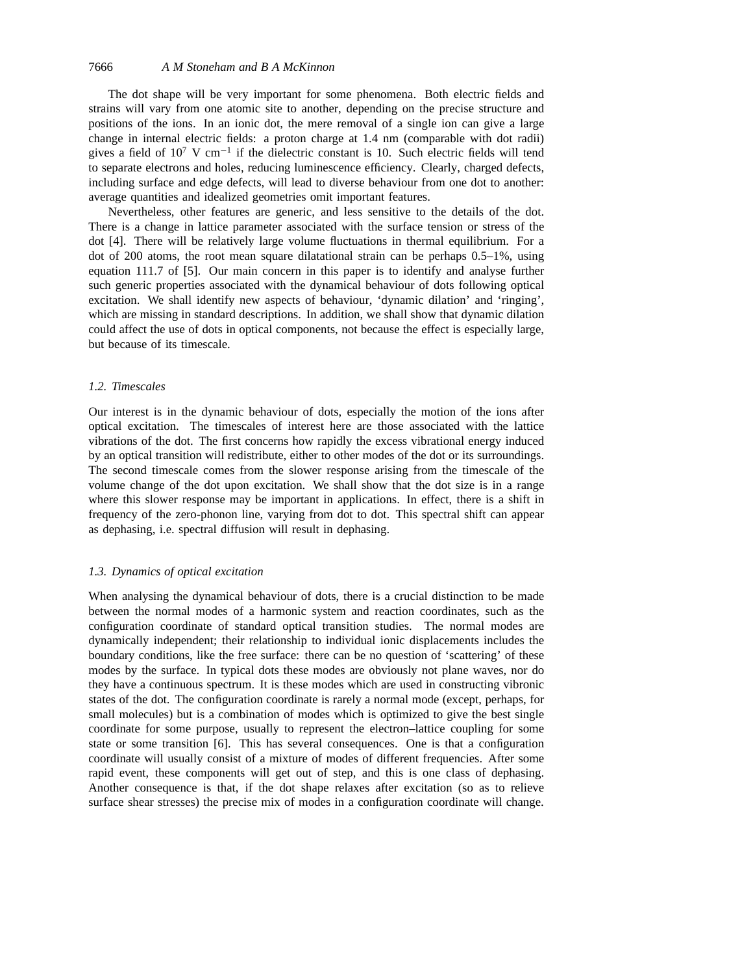The dot shape will be very important for some phenomena. Both electric fields and strains will vary from one atomic site to another, depending on the precise structure and positions of the ions. In an ionic dot, the mere removal of a single ion can give a large change in internal electric fields: a proton charge at 1.4 nm (comparable with dot radii) gives a field of  $10^7$  V cm<sup>-1</sup> if the dielectric constant is 10. Such electric fields will tend to separate electrons and holes, reducing luminescence efficiency. Clearly, charged defects, including surface and edge defects, will lead to diverse behaviour from one dot to another: average quantities and idealized geometries omit important features.

Nevertheless, other features are generic, and less sensitive to the details of the dot. There is a change in lattice parameter associated with the surface tension or stress of the dot [4]. There will be relatively large volume fluctuations in thermal equilibrium. For a dot of 200 atoms, the root mean square dilatational strain can be perhaps 0.5–1%, using equation 111.7 of [5]. Our main concern in this paper is to identify and analyse further such generic properties associated with the dynamical behaviour of dots following optical excitation. We shall identify new aspects of behaviour, 'dynamic dilation' and 'ringing', which are missing in standard descriptions. In addition, we shall show that dynamic dilation could affect the use of dots in optical components, not because the effect is especially large, but because of its timescale.

# *1.2. Timescales*

Our interest is in the dynamic behaviour of dots, especially the motion of the ions after optical excitation. The timescales of interest here are those associated with the lattice vibrations of the dot. The first concerns how rapidly the excess vibrational energy induced by an optical transition will redistribute, either to other modes of the dot or its surroundings. The second timescale comes from the slower response arising from the timescale of the volume change of the dot upon excitation. We shall show that the dot size is in a range where this slower response may be important in applications. In effect, there is a shift in frequency of the zero-phonon line, varying from dot to dot. This spectral shift can appear as dephasing, i.e. spectral diffusion will result in dephasing.

# *1.3. Dynamics of optical excitation*

When analysing the dynamical behaviour of dots, there is a crucial distinction to be made between the normal modes of a harmonic system and reaction coordinates, such as the configuration coordinate of standard optical transition studies. The normal modes are dynamically independent; their relationship to individual ionic displacements includes the boundary conditions, like the free surface: there can be no question of 'scattering' of these modes by the surface. In typical dots these modes are obviously not plane waves, nor do they have a continuous spectrum. It is these modes which are used in constructing vibronic states of the dot. The configuration coordinate is rarely a normal mode (except, perhaps, for small molecules) but is a combination of modes which is optimized to give the best single coordinate for some purpose, usually to represent the electron–lattice coupling for some state or some transition [6]. This has several consequences. One is that a configuration coordinate will usually consist of a mixture of modes of different frequencies. After some rapid event, these components will get out of step, and this is one class of dephasing. Another consequence is that, if the dot shape relaxes after excitation (so as to relieve surface shear stresses) the precise mix of modes in a configuration coordinate will change.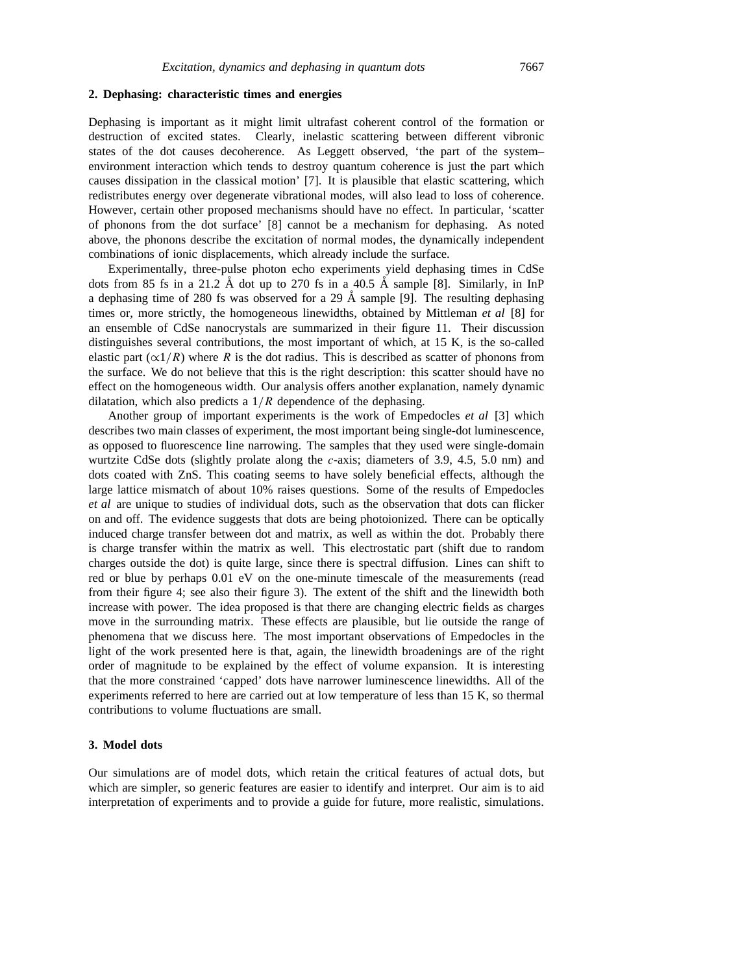# **2. Dephasing: characteristic times and energies**

Dephasing is important as it might limit ultrafast coherent control of the formation or destruction of excited states. Clearly, inelastic scattering between different vibronic states of the dot causes decoherence. As Leggett observed, 'the part of the system– environment interaction which tends to destroy quantum coherence is just the part which causes dissipation in the classical motion' [7]. It is plausible that elastic scattering, which redistributes energy over degenerate vibrational modes, will also lead to loss of coherence. However, certain other proposed mechanisms should have no effect. In particular, 'scatter of phonons from the dot surface' [8] cannot be a mechanism for dephasing. As noted above, the phonons describe the excitation of normal modes, the dynamically independent combinations of ionic displacements, which already include the surface.

Experimentally, three-pulse photon echo experiments yield dephasing times in CdSe dots from 85 fs in a 21.2 Å dot up to 270 fs in a 40.5 Å sample [8]. Similarly, in InP a dephasing time of 280 fs was observed for a 29  $\AA$  sample [9]. The resulting dephasing times or, more strictly, the homogeneous linewidths, obtained by Mittleman *et al* [8] for an ensemble of CdSe nanocrystals are summarized in their figure 11. Their discussion distinguishes several contributions, the most important of which, at 15 K, is the so-called elastic part ( $\alpha$ 1/*R*) where *R* is the dot radius. This is described as scatter of phonons from the surface. We do not believe that this is the right description: this scatter should have no effect on the homogeneous width. Our analysis offers another explanation, namely dynamic dilatation, which also predicts a 1*/R* dependence of the dephasing.

Another group of important experiments is the work of Empedocles *et al* [3] which describes two main classes of experiment, the most important being single-dot luminescence, as opposed to fluorescence line narrowing. The samples that they used were single-domain wurtzite CdSe dots (slightly prolate along the *c*-axis; diameters of 3.9, 4.5, 5.0 nm) and dots coated with ZnS. This coating seems to have solely beneficial effects, although the large lattice mismatch of about 10% raises questions. Some of the results of Empedocles *et al* are unique to studies of individual dots, such as the observation that dots can flicker on and off. The evidence suggests that dots are being photoionized. There can be optically induced charge transfer between dot and matrix, as well as within the dot. Probably there is charge transfer within the matrix as well. This electrostatic part (shift due to random charges outside the dot) is quite large, since there is spectral diffusion. Lines can shift to red or blue by perhaps 0.01 eV on the one-minute timescale of the measurements (read from their figure 4; see also their figure 3). The extent of the shift and the linewidth both increase with power. The idea proposed is that there are changing electric fields as charges move in the surrounding matrix. These effects are plausible, but lie outside the range of phenomena that we discuss here. The most important observations of Empedocles in the light of the work presented here is that, again, the linewidth broadenings are of the right order of magnitude to be explained by the effect of volume expansion. It is interesting that the more constrained 'capped' dots have narrower luminescence linewidths. All of the experiments referred to here are carried out at low temperature of less than 15 K, so thermal contributions to volume fluctuations are small.

# **3. Model dots**

Our simulations are of model dots, which retain the critical features of actual dots, but which are simpler, so generic features are easier to identify and interpret. Our aim is to aid interpretation of experiments and to provide a guide for future, more realistic, simulations.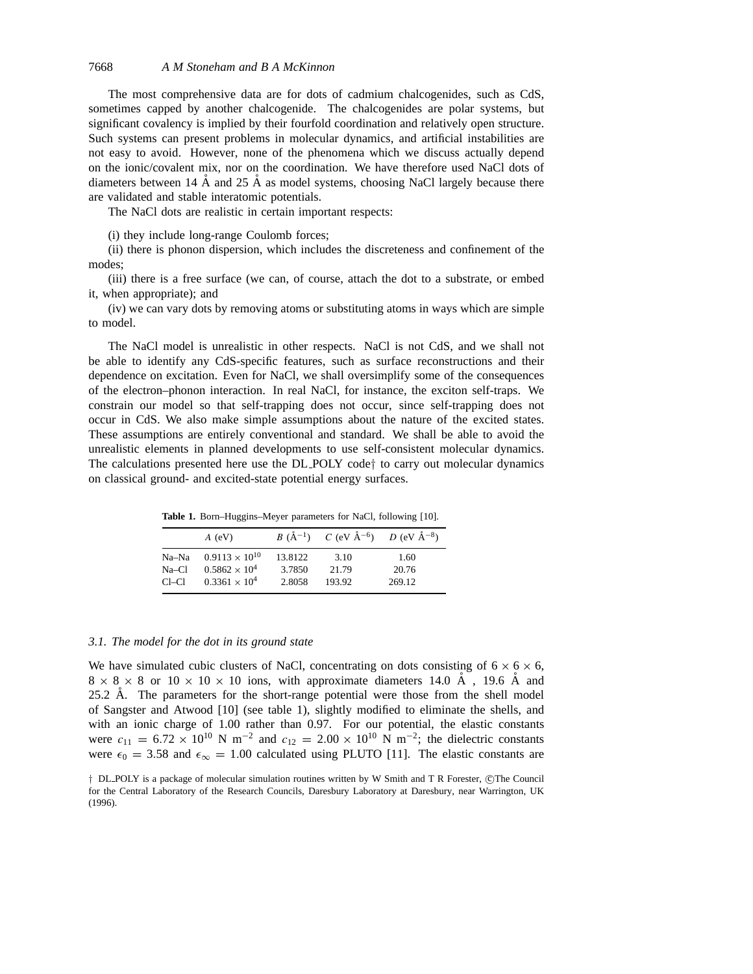The most comprehensive data are for dots of cadmium chalcogenides, such as CdS, sometimes capped by another chalcogenide. The chalcogenides are polar systems, but significant covalency is implied by their fourfold coordination and relatively open structure. Such systems can present problems in molecular dynamics, and artificial instabilities are not easy to avoid. However, none of the phenomena which we discuss actually depend on the ionic/covalent mix, nor on the coordination. We have therefore used NaCl dots of diameters between 14  $\AA$  and 25  $\AA$  as model systems, choosing NaCl largely because there are validated and stable interatomic potentials.

The NaCl dots are realistic in certain important respects:

(i) they include long-range Coulomb forces;

(ii) there is phonon dispersion, which includes the discreteness and confinement of the modes;

(iii) there is a free surface (we can, of course, attach the dot to a substrate, or embed it, when appropriate); and

(iv) we can vary dots by removing atoms or substituting atoms in ways which are simple to model.

The NaCl model is unrealistic in other respects. NaCl is not CdS, and we shall not be able to identify any CdS-specific features, such as surface reconstructions and their dependence on excitation. Even for NaCl, we shall oversimplify some of the consequences of the electron–phonon interaction. In real NaCl, for instance, the exciton self-traps. We constrain our model so that self-trapping does not occur, since self-trapping does not occur in CdS. We also make simple assumptions about the nature of the excited states. These assumptions are entirely conventional and standard. We shall be able to avoid the unrealistic elements in planned developments to use self-consistent molecular dynamics. The calculations presented here use the DL POLY code*†* to carry out molecular dynamics on classical ground- and excited-state potential energy surfaces.

**Table 1.** Born–Huggins–Meyer parameters for NaCl, following [10].

|         | $A$ (eV)                |         | $B(\AA^{-1})$ $C(\text{eV }\AA^{-6})$ $D(\text{eV }\AA^{-8})$ |        |
|---------|-------------------------|---------|---------------------------------------------------------------|--------|
| Na–Na   | $0.9113 \times 10^{10}$ | 13.8122 | 3.10                                                          | 1.60   |
| $Na-C1$ | $0.5862 \times 10^{4}$  | 3.7850  | 21.79                                                         | 20.76  |
| $Cl-Cl$ | $0.3361 \times 10^{4}$  | 2.8058  | 193.92                                                        | 269.12 |

### *3.1. The model for the dot in its ground state*

We have simulated cubic clusters of NaCl, concentrating on dots consisting of  $6 \times 6 \times 6$ ,  $8 \times 8 \times 8$  or  $10 \times 10 \times 10$  ions, with approximate diameters 14.0 Å, 19.6 Å and 25.2  $\AA$ . The parameters for the short-range potential were those from the shell model of Sangster and Atwood [10] (see table 1), slightly modified to eliminate the shells, and with an ionic charge of 1.00 rather than 0.97. For our potential, the elastic constants were  $c_{11} = 6.72 \times 10^{10}$  N m<sup>-2</sup> and  $c_{12} = 2.00 \times 10^{10}$  N m<sup>-2</sup>; the dielectric constants were  $\epsilon_0 = 3.58$  and  $\epsilon_{\infty} = 1.00$  calculated using PLUTO [11]. The elastic constants are

<sup>&</sup>lt;sup>†</sup> DL\_POLY is a package of molecular simulation routines written by W Smith and T R Forester, ©The Council for the Central Laboratory of the Research Councils, Daresbury Laboratory at Daresbury, near Warrington, UK (1996).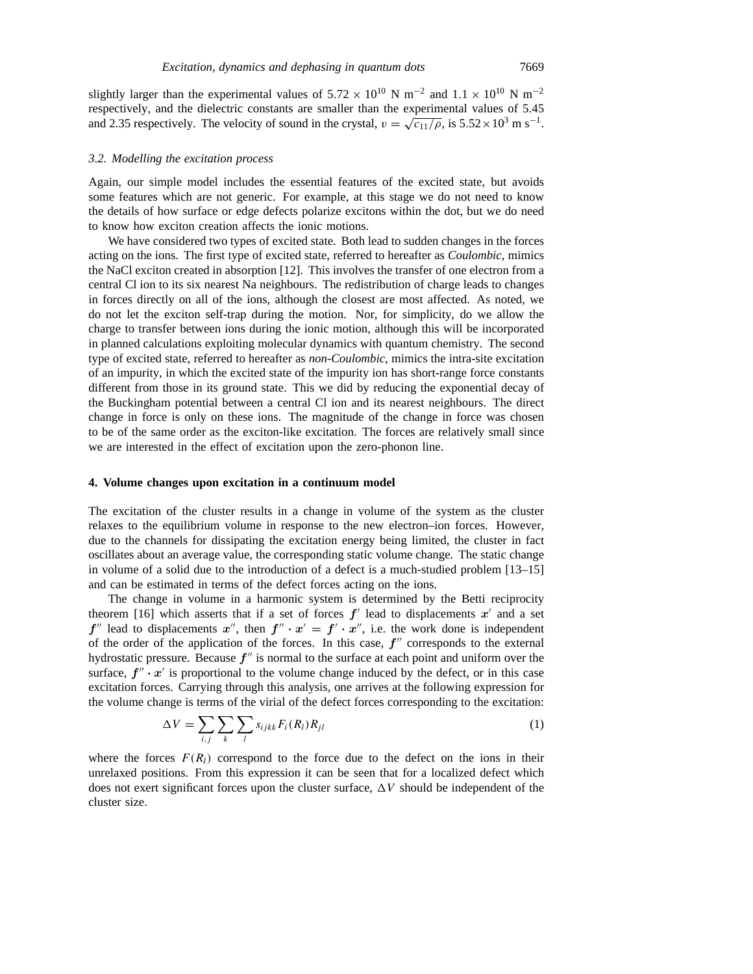slightly larger than the experimental values of  $5.72 \times 10^{10}$  N m<sup>-2</sup> and  $1.1 \times 10^{10}$  N m<sup>-2</sup> respectively, and the dielectric constants are smaller than the experimental values of 5.45 and 2.35 respectively. The velocity of sound in the crystal,  $v = \sqrt{c_{11}/\rho}$ , is 5.52×10<sup>3</sup> m s<sup>-1</sup>.

#### *3.2. Modelling the excitation process*

Again, our simple model includes the essential features of the excited state, but avoids some features which are not generic. For example, at this stage we do not need to know the details of how surface or edge defects polarize excitons within the dot, but we do need to know how exciton creation affects the ionic motions.

We have considered two types of excited state. Both lead to sudden changes in the forces acting on the ions. The first type of excited state, referred to hereafter as *Coulombic*, mimics the NaCl exciton created in absorption [12]. This involves the transfer of one electron from a central Cl ion to its six nearest Na neighbours. The redistribution of charge leads to changes in forces directly on all of the ions, although the closest are most affected. As noted, we do not let the exciton self-trap during the motion. Nor, for simplicity, do we allow the charge to transfer between ions during the ionic motion, although this will be incorporated in planned calculations exploiting molecular dynamics with quantum chemistry. The second type of excited state, referred to hereafter as *non-Coulombic*, mimics the intra-site excitation of an impurity, in which the excited state of the impurity ion has short-range force constants different from those in its ground state. This we did by reducing the exponential decay of the Buckingham potential between a central Cl ion and its nearest neighbours. The direct change in force is only on these ions. The magnitude of the change in force was chosen to be of the same order as the exciton-like excitation. The forces are relatively small since we are interested in the effect of excitation upon the zero-phonon line.

#### **4. Volume changes upon excitation in a continuum model**

The excitation of the cluster results in a change in volume of the system as the cluster relaxes to the equilibrium volume in response to the new electron–ion forces. However, due to the channels for dissipating the excitation energy being limited, the cluster in fact oscillates about an average value, the corresponding static volume change. The static change in volume of a solid due to the introduction of a defect is a much-studied problem [13–15] and can be estimated in terms of the defect forces acting on the ions.

The change in volume in a harmonic system is determined by the Betti reciprocity theorem [16] which asserts that if a set of forces  $f'$  lead to displacements  $x'$  and a set  $f''$  lead to displacements  $x''$ , then  $f'' \cdot x' = f' \cdot x''$ , i.e. the work done is independent of the order of the application of the forces. In this case,  $f''$  corresponds to the external hydrostatic pressure. Because  $f''$  is normal to the surface at each point and uniform over the surface,  $f'' \cdot x'$  is proportional to the volume change induced by the defect, or in this case excitation forces. Carrying through this analysis, one arrives at the following expression for the volume change is terms of the virial of the defect forces corresponding to the excitation:

$$
\Delta V = \sum_{i,j} \sum_{k} \sum_{l} s_{ijkk} F_i(R_l) R_{jl} \tag{1}
$$

where the forces  $F(R_l)$  correspond to the force due to the defect on the ions in their unrelaxed positions. From this expression it can be seen that for a localized defect which does not exert significant forces upon the cluster surface,  $\Delta V$  should be independent of the cluster size.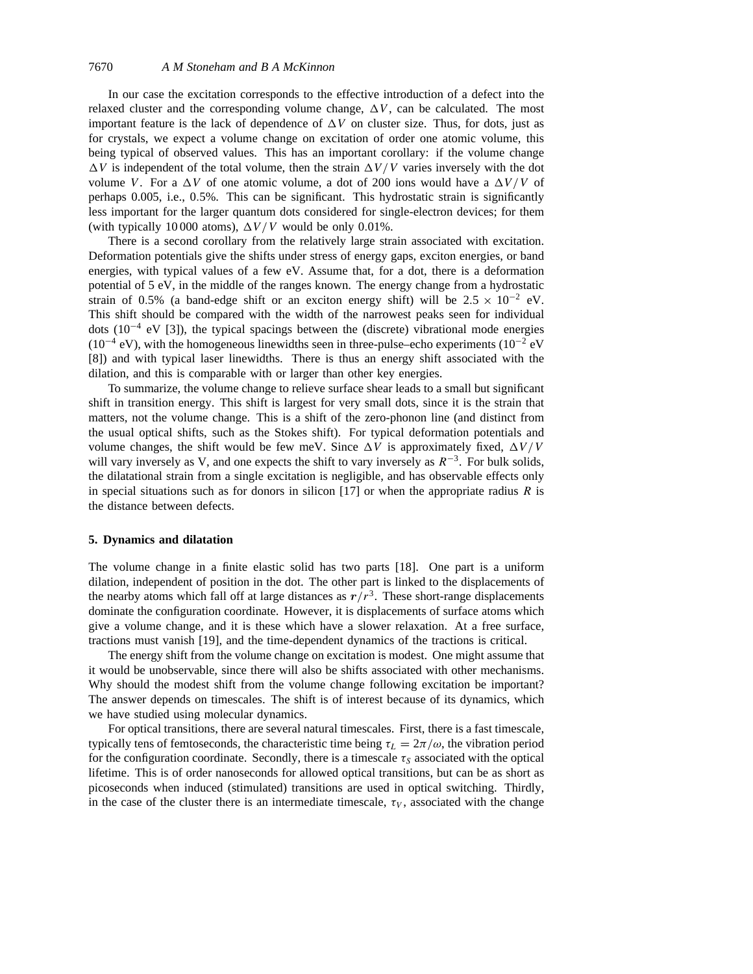In our case the excitation corresponds to the effective introduction of a defect into the relaxed cluster and the corresponding volume change,  $\Delta V$ , can be calculated. The most important feature is the lack of dependence of  $\Delta V$  on cluster size. Thus, for dots, just as for crystals, we expect a volume change on excitation of order one atomic volume, this being typical of observed values. This has an important corollary: if the volume change  $\Delta V$  is independent of the total volume, then the strain  $\Delta V/V$  varies inversely with the dot volume *V*. For a  $\Delta V$  of one atomic volume, a dot of 200 ions would have a  $\Delta V/V$  of perhaps 0.005, i.e., 0*.*5%. This can be significant. This hydrostatic strain is significantly less important for the larger quantum dots considered for single-electron devices; for them (with typically 10 000 atoms),  $\Delta V/V$  would be only 0.01%.

There is a second corollary from the relatively large strain associated with excitation. Deformation potentials give the shifts under stress of energy gaps, exciton energies, or band energies, with typical values of a few eV. Assume that, for a dot, there is a deformation potential of 5 eV, in the middle of the ranges known. The energy change from a hydrostatic strain of 0.5% (a band-edge shift or an exciton energy shift) will be  $2.5 \times 10^{-2}$  eV. This shift should be compared with the width of the narrowest peaks seen for individual dots ( $10^{-4}$  eV [3]), the typical spacings between the (discrete) vibrational mode energies  $(10^{-4} \text{ eV})$ , with the homogeneous linewidths seen in three-pulse–echo experiments  $(10^{-2} \text{ eV})$ [8]) and with typical laser linewidths. There is thus an energy shift associated with the dilation, and this is comparable with or larger than other key energies.

To summarize, the volume change to relieve surface shear leads to a small but significant shift in transition energy. This shift is largest for very small dots, since it is the strain that matters, not the volume change. This is a shift of the zero-phonon line (and distinct from the usual optical shifts, such as the Stokes shift). For typical deformation potentials and volume changes, the shift would be few meV. Since  $\Delta V$  is approximately fixed,  $\Delta V/V$ will vary inversely as V, and one expects the shift to vary inversely as *R*−3. For bulk solids, the dilatational strain from a single excitation is negligible, and has observable effects only in special situations such as for donors in silicon [17] or when the appropriate radius *R* is the distance between defects.

# **5. Dynamics and dilatation**

The volume change in a finite elastic solid has two parts [18]. One part is a uniform dilation, independent of position in the dot. The other part is linked to the displacements of the nearby atoms which fall off at large distances as  $r/r<sup>3</sup>$ . These short-range displacements dominate the configuration coordinate. However, it is displacements of surface atoms which give a volume change, and it is these which have a slower relaxation. At a free surface, tractions must vanish [19], and the time-dependent dynamics of the tractions is critical.

The energy shift from the volume change on excitation is modest. One might assume that it would be unobservable, since there will also be shifts associated with other mechanisms. Why should the modest shift from the volume change following excitation be important? The answer depends on timescales. The shift is of interest because of its dynamics, which we have studied using molecular dynamics.

For optical transitions, there are several natural timescales. First, there is a fast timescale, typically tens of femtoseconds, the characteristic time being  $\tau_L = 2\pi/\omega$ , the vibration period for the configuration coordinate. Secondly, there is a timescale  $\tau_s$  associated with the optical lifetime. This is of order nanoseconds for allowed optical transitions, but can be as short as picoseconds when induced (stimulated) transitions are used in optical switching. Thirdly, in the case of the cluster there is an intermediate timescale,  $\tau_V$ , associated with the change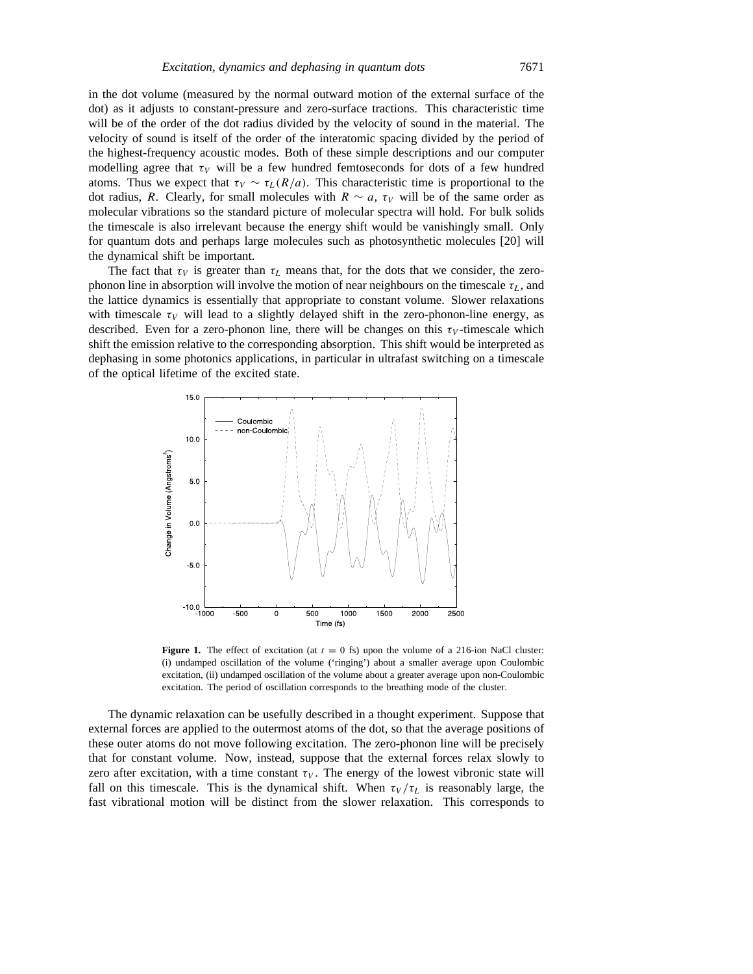in the dot volume (measured by the normal outward motion of the external surface of the dot) as it adjusts to constant-pressure and zero-surface tractions. This characteristic time will be of the order of the dot radius divided by the velocity of sound in the material. The velocity of sound is itself of the order of the interatomic spacing divided by the period of the highest-frequency acoustic modes. Both of these simple descriptions and our computer modelling agree that  $\tau_V$  will be a few hundred femtoseconds for dots of a few hundred atoms. Thus we expect that  $\tau_V \sim \tau_L(R/a)$ . This characteristic time is proportional to the dot radius, *R*. Clearly, for small molecules with  $R \sim a$ ,  $\tau_V$  will be of the same order as molecular vibrations so the standard picture of molecular spectra will hold. For bulk solids the timescale is also irrelevant because the energy shift would be vanishingly small. Only for quantum dots and perhaps large molecules such as photosynthetic molecules [20] will the dynamical shift be important.

The fact that  $\tau_V$  is greater than  $\tau_L$  means that, for the dots that we consider, the zerophonon line in absorption will involve the motion of near neighbours on the timescale *τL*, and the lattice dynamics is essentially that appropriate to constant volume. Slower relaxations with timescale  $\tau_V$  will lead to a slightly delayed shift in the zero-phonon-line energy, as described. Even for a zero-phonon line, there will be changes on this  $\tau_V$ -timescale which shift the emission relative to the corresponding absorption. This shift would be interpreted as dephasing in some photonics applications, in particular in ultrafast switching on a timescale of the optical lifetime of the excited state.



**Figure 1.** The effect of excitation (at  $t = 0$  fs) upon the volume of a 216-ion NaCl cluster: (i) undamped oscillation of the volume ('ringing') about a smaller average upon Coulombic excitation, (ii) undamped oscillation of the volume about a greater average upon non-Coulombic excitation. The period of oscillation corresponds to the breathing mode of the cluster.

The dynamic relaxation can be usefully described in a thought experiment. Suppose that external forces are applied to the outermost atoms of the dot, so that the average positions of these outer atoms do not move following excitation. The zero-phonon line will be precisely that for constant volume. Now, instead, suppose that the external forces relax slowly to zero after excitation, with a time constant  $\tau_V$ . The energy of the lowest vibronic state will fall on this timescale. This is the dynamical shift. When  $\tau_V/\tau_L$  is reasonably large, the fast vibrational motion will be distinct from the slower relaxation. This corresponds to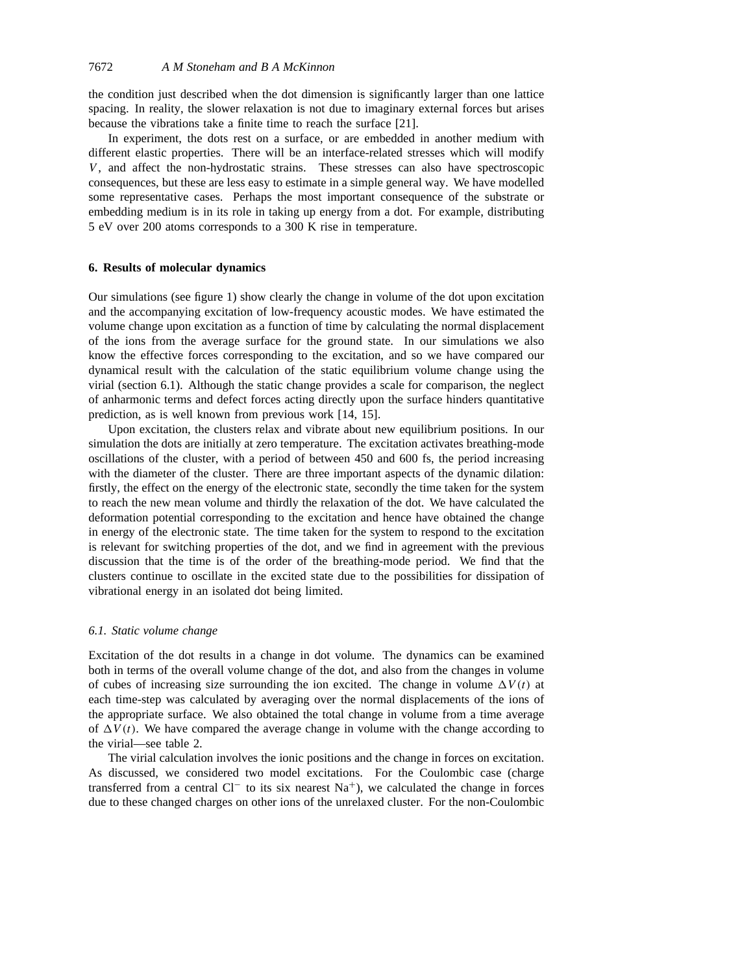the condition just described when the dot dimension is significantly larger than one lattice spacing. In reality, the slower relaxation is not due to imaginary external forces but arises because the vibrations take a finite time to reach the surface [21].

In experiment, the dots rest on a surface, or are embedded in another medium with different elastic properties. There will be an interface-related stresses which will modify *V*, and affect the non-hydrostatic strains. These stresses can also have spectroscopic consequences, but these are less easy to estimate in a simple general way. We have modelled some representative cases. Perhaps the most important consequence of the substrate or embedding medium is in its role in taking up energy from a dot. For example, distributing 5 eV over 200 atoms corresponds to a 300 K rise in temperature.

# **6. Results of molecular dynamics**

Our simulations (see figure 1) show clearly the change in volume of the dot upon excitation and the accompanying excitation of low-frequency acoustic modes. We have estimated the volume change upon excitation as a function of time by calculating the normal displacement of the ions from the average surface for the ground state. In our simulations we also know the effective forces corresponding to the excitation, and so we have compared our dynamical result with the calculation of the static equilibrium volume change using the virial (section 6.1). Although the static change provides a scale for comparison, the neglect of anharmonic terms and defect forces acting directly upon the surface hinders quantitative prediction, as is well known from previous work [14, 15].

Upon excitation, the clusters relax and vibrate about new equilibrium positions. In our simulation the dots are initially at zero temperature. The excitation activates breathing-mode oscillations of the cluster, with a period of between 450 and 600 fs, the period increasing with the diameter of the cluster. There are three important aspects of the dynamic dilation: firstly, the effect on the energy of the electronic state, secondly the time taken for the system to reach the new mean volume and thirdly the relaxation of the dot. We have calculated the deformation potential corresponding to the excitation and hence have obtained the change in energy of the electronic state. The time taken for the system to respond to the excitation is relevant for switching properties of the dot, and we find in agreement with the previous discussion that the time is of the order of the breathing-mode period. We find that the clusters continue to oscillate in the excited state due to the possibilities for dissipation of vibrational energy in an isolated dot being limited.

### *6.1. Static volume change*

Excitation of the dot results in a change in dot volume. The dynamics can be examined both in terms of the overall volume change of the dot, and also from the changes in volume of cubes of increasing size surrounding the ion excited. The change in volume  $\Delta V(t)$  at each time-step was calculated by averaging over the normal displacements of the ions of the appropriate surface. We also obtained the total change in volume from a time average of  $\Delta V(t)$ . We have compared the average change in volume with the change according to the virial—see table 2.

The virial calculation involves the ionic positions and the change in forces on excitation. As discussed, we considered two model excitations. For the Coulombic case (charge transferred from a central  $Cl^-$  to its six nearest Na<sup>+</sup>), we calculated the change in forces due to these changed charges on other ions of the unrelaxed cluster. For the non-Coulombic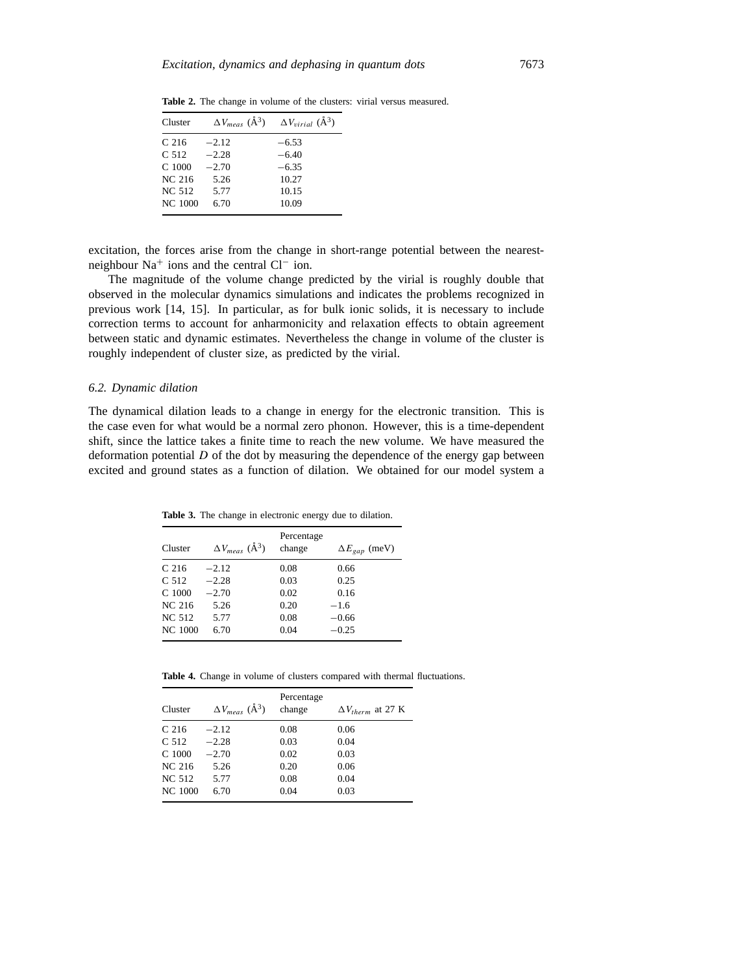| Cluster          | $\Delta V_{meas}$ ( $\rm \AA^3$ ) | $\Delta V_{virial}$ ( $\rm \AA^3$ ) |
|------------------|-----------------------------------|-------------------------------------|
| C <sub>216</sub> | $-2.12$                           | $-6.53$                             |
| C 512            | $-2.28$                           | $-6.40$                             |
| $C$ 1000         | $-2.70$                           | $-6.35$                             |
| NC 216           | 5.26                              | 10.27                               |
| NC 512           | 5.77                              | 10.15                               |
| <b>NC 1000</b>   | 6.70                              | 10.09                               |

**Table 2.** The change in volume of the clusters: virial versus measured.

excitation, the forces arise from the change in short-range potential between the nearestneighbour Na<sup>+</sup> ions and the central Cl<sup>−</sup> ion.

The magnitude of the volume change predicted by the virial is roughly double that observed in the molecular dynamics simulations and indicates the problems recognized in previous work [14, 15]. In particular, as for bulk ionic solids, it is necessary to include correction terms to account for anharmonicity and relaxation effects to obtain agreement between static and dynamic estimates. Nevertheless the change in volume of the cluster is roughly independent of cluster size, as predicted by the virial.

### *6.2. Dynamic dilation*

The dynamical dilation leads to a change in energy for the electronic transition. This is the case even for what would be a normal zero phonon. However, this is a time-dependent shift, since the lattice takes a finite time to reach the new volume. We have measured the deformation potential *D* of the dot by measuring the dependence of the energy gap between excited and ground states as a function of dilation. We obtained for our model system a

**Table 3.** The change in electronic energy due to dilation.

| Cluster           | $\Delta V_{meas}$ ( $\AA^3$ ) | Percentage<br>change | $\Delta E_{\text{gap}}$ (meV) |
|-------------------|-------------------------------|----------------------|-------------------------------|
| C <sub>216</sub>  | $-2.12$                       | 0.08                 | 0.66                          |
| C <sub>512</sub>  | $-2.28$                       | 0.03                 | 0.25                          |
| C <sub>1000</sub> | $-2.70$                       | 0.02                 | 0.16                          |
| NC 216            | 5.26                          | 0.20                 | $-1.6$                        |
| <b>NC 512</b>     | 5.77                          | 0.08                 | $-0.66$                       |
| NC 1000           | 6.70                          | 0.04                 | $-0.25$                       |

**Table 4.** Change in volume of clusters compared with thermal fluctuations.

| Cluster          | $\Delta V_{meas}$ ( $\AA^3$ ) | Percentage<br>change | $\Delta V_{therm}$ at 27 K |
|------------------|-------------------------------|----------------------|----------------------------|
| C <sub>216</sub> | $-2.12$                       | 0.08                 | 0.06                       |
| C <sub>512</sub> | $-2.28$                       | 0.03                 | 0.04                       |
| $C$ 1000         | $-2.70$                       | 0.02                 | 0.03                       |
| NC 216           | 5.26                          | 0.20                 | 0.06                       |
| NC 512           | 5.77                          | 0.08                 | 0.04                       |
| <b>NC 1000</b>   | 6.70                          | 0.04                 | 0.03                       |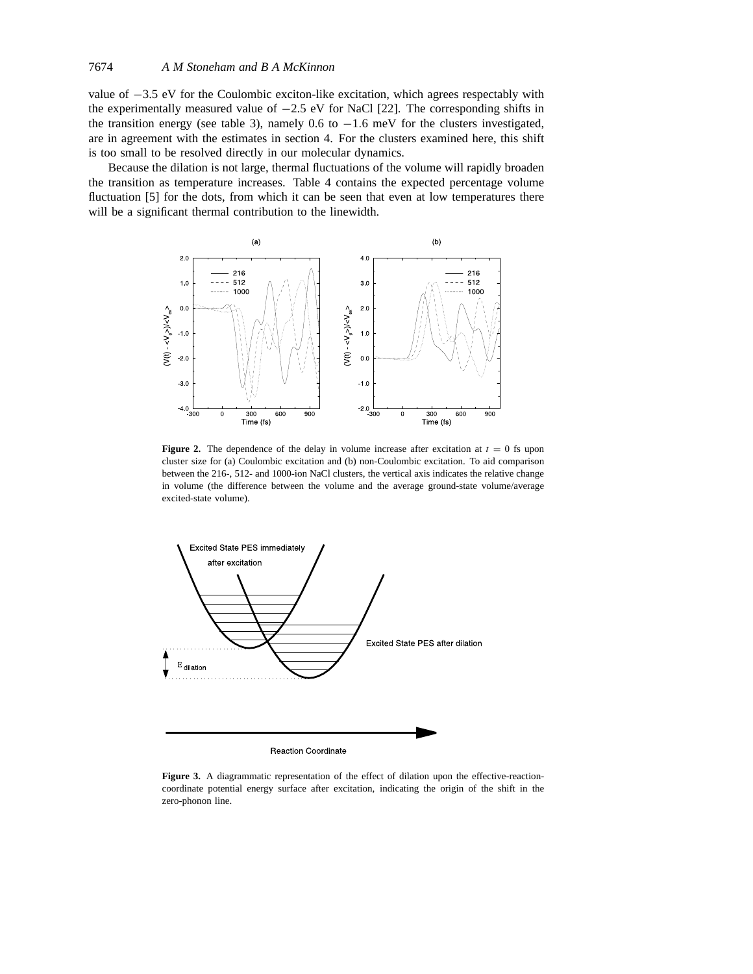value of −3.5 eV for the Coulombic exciton-like excitation, which agrees respectably with the experimentally measured value of  $-2.5$  eV for NaCl [22]. The corresponding shifts in the transition energy (see table 3), namely 0.6 to  $-1.6$  meV for the clusters investigated, are in agreement with the estimates in section 4. For the clusters examined here, this shift is too small to be resolved directly in our molecular dynamics.

Because the dilation is not large, thermal fluctuations of the volume will rapidly broaden the transition as temperature increases. Table 4 contains the expected percentage volume fluctuation [5] for the dots, from which it can be seen that even at low temperatures there will be a significant thermal contribution to the linewidth.



**Figure 2.** The dependence of the delay in volume increase after excitation at  $t = 0$  fs upon cluster size for (a) Coulombic excitation and (b) non-Coulombic excitation. To aid comparison between the 216-, 512- and 1000-ion NaCl clusters, the vertical axis indicates the relative change in volume (the difference between the volume and the average ground-state volume/average excited-state volume).



**Figure 3.** A diagrammatic representation of the effect of dilation upon the effective-reactioncoordinate potential energy surface after excitation, indicating the origin of the shift in the zero-phonon line.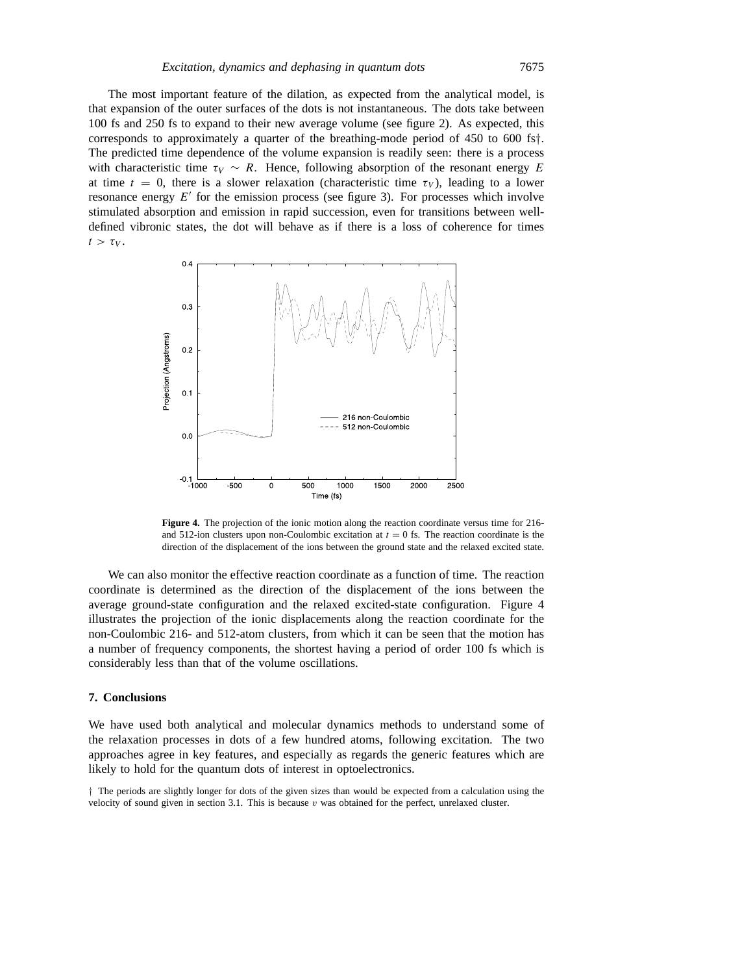The most important feature of the dilation, as expected from the analytical model, is that expansion of the outer surfaces of the dots is not instantaneous. The dots take between 100 fs and 250 fs to expand to their new average volume (see figure 2). As expected, this corresponds to approximately a quarter of the breathing-mode period of 450 to 600 fs*†*. The predicted time dependence of the volume expansion is readily seen: there is a process with characteristic time  $\tau_V \sim R$ . Hence, following absorption of the resonant energy E at time  $t = 0$ , there is a slower relaxation (characteristic time  $\tau_V$ ), leading to a lower resonance energy  $E'$  for the emission process (see figure 3). For processes which involve stimulated absorption and emission in rapid succession, even for transitions between welldefined vibronic states, the dot will behave as if there is a loss of coherence for times  $t > \tau_V$ .



**Figure 4.** The projection of the ionic motion along the reaction coordinate versus time for 216 and 512-ion clusters upon non-Coulombic excitation at  $t = 0$  fs. The reaction coordinate is the direction of the displacement of the ions between the ground state and the relaxed excited state.

We can also monitor the effective reaction coordinate as a function of time. The reaction coordinate is determined as the direction of the displacement of the ions between the average ground-state configuration and the relaxed excited-state configuration. Figure 4 illustrates the projection of the ionic displacements along the reaction coordinate for the non-Coulombic 216- and 512-atom clusters, from which it can be seen that the motion has a number of frequency components, the shortest having a period of order 100 fs which is considerably less than that of the volume oscillations.

### **7. Conclusions**

We have used both analytical and molecular dynamics methods to understand some of the relaxation processes in dots of a few hundred atoms, following excitation. The two approaches agree in key features, and especially as regards the generic features which are likely to hold for the quantum dots of interest in optoelectronics.

*†* The periods are slightly longer for dots of the given sizes than would be expected from a calculation using the velocity of sound given in section 3.1. This is because *v* was obtained for the perfect, unrelaxed cluster.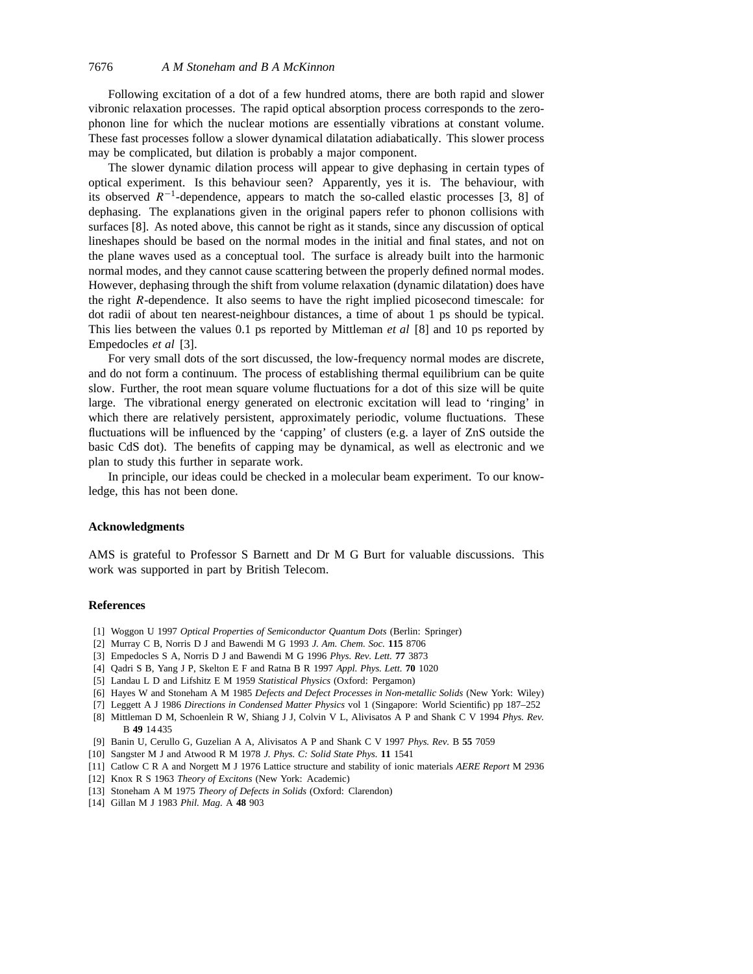Following excitation of a dot of a few hundred atoms, there are both rapid and slower vibronic relaxation processes. The rapid optical absorption process corresponds to the zerophonon line for which the nuclear motions are essentially vibrations at constant volume. These fast processes follow a slower dynamical dilatation adiabatically. This slower process may be complicated, but dilation is probably a major component.

The slower dynamic dilation process will appear to give dephasing in certain types of optical experiment. Is this behaviour seen? Apparently, yes it is. The behaviour, with its observed *R*−1-dependence, appears to match the so-called elastic processes [3, 8] of dephasing. The explanations given in the original papers refer to phonon collisions with surfaces [8]. As noted above, this cannot be right as it stands, since any discussion of optical lineshapes should be based on the normal modes in the initial and final states, and not on the plane waves used as a conceptual tool. The surface is already built into the harmonic normal modes, and they cannot cause scattering between the properly defined normal modes. However, dephasing through the shift from volume relaxation (dynamic dilatation) does have the right *R*-dependence. It also seems to have the right implied picosecond timescale: for dot radii of about ten nearest-neighbour distances, a time of about 1 ps should be typical. This lies between the values 0.1 ps reported by Mittleman *et al* [8] and 10 ps reported by Empedocles *et al* [3].

For very small dots of the sort discussed, the low-frequency normal modes are discrete, and do not form a continuum. The process of establishing thermal equilibrium can be quite slow. Further, the root mean square volume fluctuations for a dot of this size will be quite large. The vibrational energy generated on electronic excitation will lead to 'ringing' in which there are relatively persistent, approximately periodic, volume fluctuations. These fluctuations will be influenced by the 'capping' of clusters (e.g. a layer of ZnS outside the basic CdS dot). The benefits of capping may be dynamical, as well as electronic and we plan to study this further in separate work.

In principle, our ideas could be checked in a molecular beam experiment. To our knowledge, this has not been done.

# **Acknowledgments**

AMS is grateful to Professor S Barnett and Dr M G Burt for valuable discussions. This work was supported in part by British Telecom.

#### **References**

- [1] Woggon U 1997 *Optical Properties of Semiconductor Quantum Dots* (Berlin: Springer)
- [2] Murray C B, Norris D J and Bawendi M G 1993 *J. Am. Chem. Soc.* **115** 8706
- [3] Empedocles S A, Norris D J and Bawendi M G 1996 *Phys. Rev. Lett.* **77** 3873
- [4] Qadri S B, Yang J P, Skelton E F and Ratna B R 1997 *Appl. Phys. Lett.* **70** 1020
- [5] Landau L D and Lifshitz E M 1959 *Statistical Physics* (Oxford: Pergamon)
- [6] Hayes W and Stoneham A M 1985 *Defects and Defect Processes in Non-metallic Solids* (New York: Wiley)
- [7] Leggett A J 1986 *Directions in Condensed Matter Physics* vol 1 (Singapore: World Scientific) pp 187–252
- [8] Mittleman D M, Schoenlein R W, Shiang J J, Colvin V L, Alivisatos A P and Shank C V 1994 *Phys. Rev.* B **49** 14 435
- [9] Banin U, Cerullo G, Guzelian A A, Alivisatos A P and Shank C V 1997 *Phys. Rev.* B **55** 7059
- [10] Sangster M J and Atwood R M 1978 *J. Phys. C: Solid State Phys.* **11** 1541
- [11] Catlow C R A and Norgett M J 1976 Lattice structure and stability of ionic materials *AERE Report* M 2936
- [12] Knox R S 1963 *Theory of Excitons* (New York: Academic)
- [13] Stoneham A M 1975 *Theory of Defects in Solids* (Oxford: Clarendon)
- [14] Gillan M J 1983 *Phil. Mag.* A **48** 903